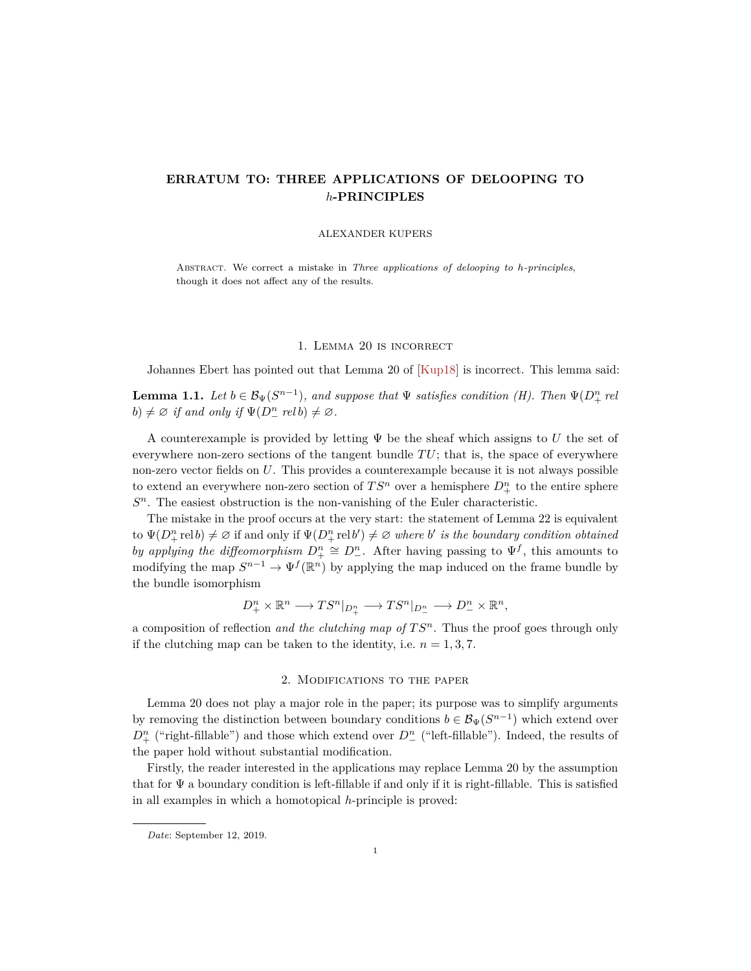# <span id="page-0-0"></span>**ERRATUM TO: THREE APPLICATIONS OF DELOOPING TO** *h***-PRINCIPLES**

#### ALEXANDER KUPERS

Abstract. We correct a mistake in *Three applications of delooping to h-principles*, though it does not affect any of the results.

## 1. Lemma 20 is incorrect

Johannes Ebert has pointed out that Lemma 20 of [\[Kup18\]](#page-1-0) is incorrect. This lemma said:

**Lemma 1.1.** *Let*  $b \in \mathcal{B}_{\Psi}(S^{n-1})$ *, and suppose that*  $\Psi$  *satisfies condition (H). Then*  $\Psi(D^{n}_{+} \text{ rel})$  $b) \neq \emptyset$  *if and only if*  $\Psi(D_-^n \text{ rel } b) \neq \emptyset$ *.* 

A counterexample is provided by letting Ψ be the sheaf which assigns to *U* the set of everywhere non-zero sections of the tangent bundle  $TU$ ; that is, the space of everywhere non-zero vector fields on *U*. This provides a counterexample because it is not always possible to extend an everywhere non-zero section of  $TS^n$  over a hemisphere  $D^n_+$  to the entire sphere *S <sup>n</sup>*. The easiest obstruction is the non-vanishing of the Euler characteristic.

The mistake in the proof occurs at the very start: the statement of Lemma 22 is equivalent  $\text{tr}\left\{\Psi(D_+^n \text{rel } b) \neq \emptyset \right\}$  if and only if  $\Psi(D_+^n \text{rel } b') \neq \emptyset$  where *b'* is the boundary condition obtained *by applying the diffeomorphism*  $D_{+}^{n} \cong D_{-}^{n}$ . After having passing to  $\Psi^{f}$ , this amounts to modifying the map  $S^{n-1} \to \Psi^f(\mathbb{R}^n)$  by applying the map induced on the frame bundle by the bundle isomorphism

$$
D^n_+\times{\mathbb R}^n\longrightarrow TS^n|_{D^n_+}\longrightarrow TS^n|_{D^n_-}\longrightarrow D^n_-\times{\mathbb R}^n,
$$

a composition of reflection *and the clutching map of T S<sup>n</sup>*. Thus the proof goes through only if the clutching map can be taken to the identity, i.e.  $n = 1, 3, 7$ .

## 2. Modifications to the paper

Lemma 20 does not play a major role in the paper; its purpose was to simplify arguments by removing the distinction between boundary conditions  $b \in \mathcal{B}_{\Psi}(S^{n-1})$  which extend over  $D_{+}^{n}$  ("right-fillable") and those which extend over  $D_{-}^{n}$  ("left-fillable"). Indeed, the results of the paper hold without substantial modification.

Firstly, the reader interested in the applications may replace Lemma 20 by the assumption that for  $\Psi$  a boundary condition is left-fillable if and only if it is right-fillable. This is satisfied in all examples in which a homotopical *h*-principle is proved:

*Date*: September 12, 2019.